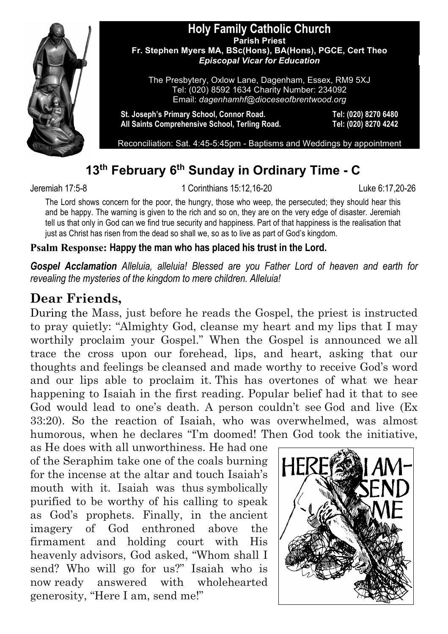

#### **Holy Family Catholic Church Parish Priest Fr. Stephen Myers MA, BSc(Hons), BA(Hons), PGCE, Cert Theo** *Episcopal Vicar for Education*

The Presbytery, Oxlow Lane, Dagenham, Essex, RM9 5XJ Tel: (020) 8592 1634 Charity Number: 234092 Email: *dagenhamhf@dioceseofbrentwood.org*

**St. Joseph's Primary School, Connor Road. Tel: (020) 8270 6480 All Saints Comprehensive School, Terling Road. Tel: (020) 8270 4242**

Reconciliation: Sat. 4:45-5:45pm - Baptisms and Weddings by appointment

# **13th February 6th Sunday in Ordinary Time - C**

Jeremiah 17:5-8 1 Corinthians 15:12,16-20 Luke 6:17,20-26

The Lord shows concern for the poor, the hungry, those who weep, the persecuted; they should hear this and be happy. The warning is given to the rich and so on, they are on the very edge of disaster. Jeremiah tell us that only in God can we find true security and happiness. Part of that happiness is the realisation that just as Christ has risen from the dead so shall we, so as to live as part of God's kingdom.

#### **Psalm Response: Happy the man who has placed his trust in the Lord.**

*Gospel Acclamation Alleluia, alleluia! Blessed are you Father Lord of heaven and earth for revealing the mysteries of the kingdom to mere children. Alleluia!*

# **Dear Friends,**

During the Mass, just before he reads the Gospel, the priest is instructed to pray quietly: "Almighty God, cleanse my heart and my lips that I may worthily proclaim your Gospel." When the Gospel is announced we all trace the cross upon our forehead, lips, and heart, asking that our thoughts and feelings be cleansed and made worthy to receive God's word and our lips able to proclaim it. This has overtones of what we hear happening to Isaiah in the first reading. Popular belief had it that to see God would lead to one's death. A person couldn't see God and live (Ex 33:20). So the reaction of Isaiah, who was overwhelmed, was almost humorous, when he declares "I'm doomed! Then God took the initiative,

as He does with all unworthiness. He had one of the Seraphim take one of the coals burning for the incense at the altar and touch Isaiah's mouth with it. Isaiah was thus symbolically purified to be worthy of his calling to speak as God's prophets. Finally, in the ancient imagery of God enthroned above the firmament and holding court with His heavenly advisors, God asked, "Whom shall I send? Who will go for us?" Isaiah who is now ready answered with wholehearted generosity, "Here I am, send me!"

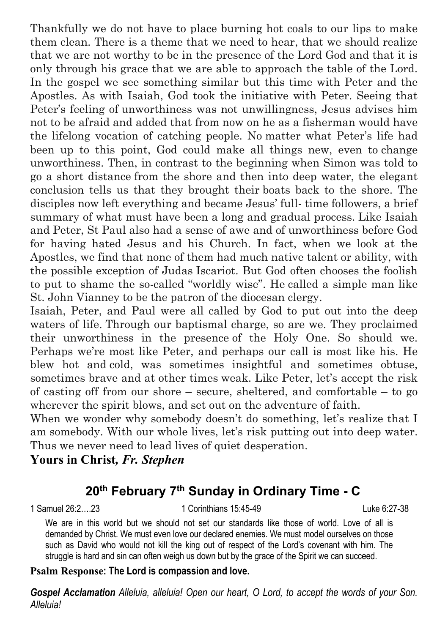Thankfully we do not have to place burning hot coals to our lips to make them clean. There is a theme that we need to hear, that we should realize that we are not worthy to be in the presence of the Lord God and that it is only through his grace that we are able to approach the table of the Lord. In the gospel we see something similar but this time with Peter and the Apostles. As with Isaiah, God took the initiative with Peter. Seeing that Peter's feeling of unworthiness was not unwillingness, Jesus advises him not to be afraid and added that from now on he as a fisherman would have the lifelong vocation of catching people. No matter what Peter's life had been up to this point, God could make all things new, even to change unworthiness. Then, in contrast to the beginning when Simon was told to go a short distance from the shore and then into deep water, the elegant conclusion tells us that they brought their boats back to the shore. The disciples now left everything and became Jesus' full- time followers, a brief summary of what must have been a long and gradual process. Like Isaiah and Peter, St Paul also had a sense of awe and of unworthiness before God for having hated Jesus and his Church. In fact, when we look at the Apostles, we find that none of them had much native talent or ability, with the possible exception of Judas Iscariot. But God often chooses the foolish to put to shame the so-called "worldly wise". He called a simple man like St. John Vianney to be the patron of the diocesan clergy.

Isaiah, Peter, and Paul were all called by God to put out into the deep waters of life. Through our baptismal charge, so are we. They proclaimed their unworthiness in the presence of the Holy One. So should we. Perhaps we're most like Peter, and perhaps our call is most like his. He blew hot and cold, was sometimes insightful and sometimes obtuse, sometimes brave and at other times weak. Like Peter, let's accept the risk of casting off from our shore – secure, sheltered, and comfortable – to go wherever the spirit blows, and set out on the adventure of faith.

When we wonder why somebody doesn't do something, let's realize that I am somebody. With our whole lives, let's risk putting out into deep water. Thus we never need to lead lives of quiet desperation.

**Yours in Christ***, Fr. Stephen*

# **20th February 7th Sunday in Ordinary Time - C**

1 Samuel 26:2….23 1 Corinthians 15:45-49 Luke 6:27-38

We are in this world but we should not set our standards like those of world. Love of all is demanded by Christ. We must even love our declared enemies. We must model ourselves on those such as David who would not kill the king out of respect of the Lord's covenant with him. The struggle is hard and sin can often weigh us down but by the grace of the Spirit we can succeed.

#### **Psalm Response: The Lord is compassion and love.**

*Gospel Acclamation Alleluia, alleluia! Open our heart, O Lord, to accept the words of your Son. Alleluia!*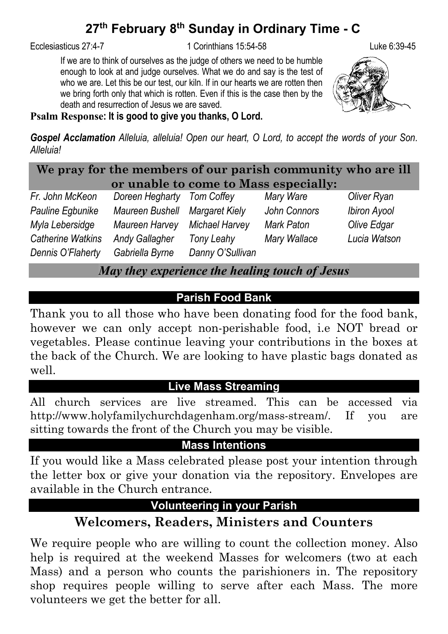# **27th February 8th Sunday in Ordinary Time - C**

Ecclesiasticus 27:4-7 1 Corinthians 15:54-58 Luke 6:39-45

If we are to think of ourselves as the judge of others we need to be humble enough to look at and judge ourselves. What we do and say is the test of who we are. Let this be our test, our kiln. If in our hearts we are rotten then we bring forth only that which is rotten. Even if this is the case then by the death and resurrection of Jesus we are saved.



#### **Psalm Response: It is good to give you thanks, O Lord.**

*Gospel Acclamation Alleluia, alleluia! Open our heart, O Lord, to accept the words of your Son. Alleluia!*

**We pray for the members of our parish community who are ill or unable to come to Mass especially:**

| Fr. John McKeon   | Doreen Hegharty                | Tom Coffey       | Mary Ware    | Oliver Ryan         |
|-------------------|--------------------------------|------------------|--------------|---------------------|
| Pauline Egbunike  | Maureen Bushell Margaret Kiely |                  | John Connors | <b>Ibiron Ayool</b> |
| Myla Lebersidge   | Maureen Harvey                 | Michael Harvey   | Mark Paton   | Olive Edgar         |
| Catherine Watkins | <b>Andy Gallagher</b>          | Tony Leahy       | Mary Wallace | Lucia Watson        |
| Dennis O'Flaherty | Gabriella Byrne                | Danny O'Sullivan |              |                     |

*May they experience the healing touch of Jesus*

# **Parish Food Bank**

Thank you to all those who have been donating food for the food bank, however we can only accept non-perishable food, i.e NOT bread or vegetables. Please continue leaving your contributions in the boxes at the back of the Church. We are looking to have plastic bags donated as well.

#### **Live Mass Streaming**

All church services are live streamed. This can be accessed via http://www.holyfamilychurchdagenham.org/mass-stream/. If you are sitting towards the front of the Church you may be visible.

#### **Mass Intentions**

If you would like a Mass celebrated please post your intention through the letter box or give your donation via the repository. Envelopes are available in the Church entrance.

#### **Volunteering in your Parish**

# **Welcomers, Readers, Ministers and Counters**

We require people who are willing to count the collection money. Also help is required at the weekend Masses for welcomers (two at each Mass) and a person who counts the parishioners in. The repository shop requires people willing to serve after each Mass. The more volunteers we get the better for all.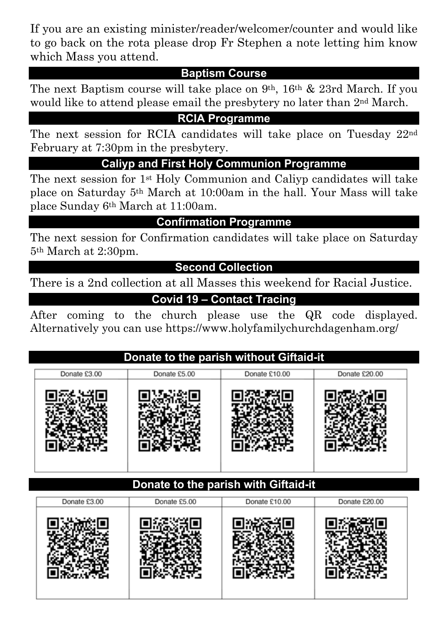If you are an existing minister/reader/welcomer/counter and would like to go back on the rota please drop Fr Stephen a note letting him know which Mass you attend.

#### **Baptism Course**

The next Baptism course will take place on 9th, 16th & 23rd March. If you would like to attend please email the presbytery no later than 2nd March.

## **RCIA Programme**

The next session for RCIA candidates will take place on Tuesday 22nd February at 7:30pm in the presbytery.

**Caliyp and First Holy Communion Programme**

The next session for 1st Holy Communion and Caliyp candidates will take place on Saturday 5th March at 10:00am in the hall. Your Mass will take place Sunday 6th March at 11:00am.

#### **Confirmation Programme**

The next session for Confirmation candidates will take place on Saturday 5th March at 2:30pm.

#### **Second Collection**

There is a 2nd collection at all Masses this weekend for Racial Justice.

### **Covid 19 – Contact Tracing**

After coming to the church please use the QR code displayed. Alternatively you can use https://www.holyfamilychurchdagenham.org/

## **Donate to the parish without Giftaid-it**

| Donate £3.00 | Donate £5.00 | Donate £10.00 | Donate £20.00 |
|--------------|--------------|---------------|---------------|
|              |              |               |               |
|              |              |               |               |
|              |              |               |               |

#### **Donate to the parish with Giftaid-it**

| Donate £3.00 | Donate £5.00 | Donate £10.00 | Donate £20.00 |
|--------------|--------------|---------------|---------------|
|              |              |               |               |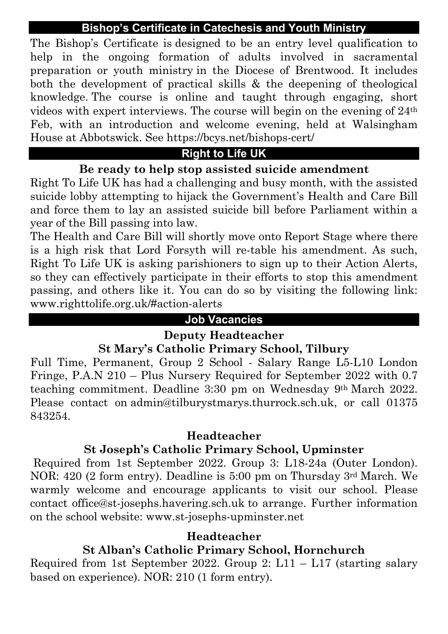#### **Bishop's Certificate in Catechesis and Youth Ministry**

The Bishop's Certificate is designed to be an entry level qualification to help in the ongoing formation of adults involved in sacramental preparation or youth ministry in the Diocese of Brentwood. It includes both the development of practical skills & the deepening of theological knowledge. The course is online and taught through engaging, short videos with expert interviews. The course will begin on the evening of 24th Feb, with an introduction and welcome evening, held at Walsingham House at Abbotswick. See https://bcys.net/bishops-cert/

# **Right to Life UK**

### **Be ready to help stop assisted suicide amendment**

Right To Life UK has had a challenging and busy month, with the assisted suicide lobby attempting to hijack the Government's Health and Care Bill and force them to lay an assisted suicide bill before Parliament within a year of the Bill passing into law.

The Health and Care Bill will shortly move onto Report Stage where there is a high risk that Lord Forsyth will re-table his amendment. As such, Right To Life UK is asking parishioners to sign up to their Action Alerts, so they can effectively participate in their efforts to stop this amendment passing, and others like it. You can do so by visiting the following link: www.righttolife.org.uk/#action-alerts

#### **Job Vacancies**

#### **Deputy Headteacher**

#### **St Mary's Catholic Primary School, Tilbury**

Full Time, Permanent, Group 2 School - Salary Range L5-L10 London Fringe, P.A.N 210 – Plus Nursery Required for September 2022 with 0.7 teaching commitment. Deadline 3:30 pm on Wednesday 9th March 2022. Please contact on admin@tilburystmarys.thurrock.sch.uk, or call 01375 843254.

#### **Headteacher**

## **St Joseph's Catholic Primary School, Upminster**

Required from 1st September 2022. Group 3: L18-24a (Outer London). NOR: 420 (2 form entry). Deadline is 5:00 pm on Thursday 3rd March. We warmly welcome and encourage applicants to visit our school. Please contact office@st-josephs.havering.sch.uk to arrange. Further information on the school website: www.st-josephs-upminster.net

#### **Headteacher**

# **St Alban's Catholic Primary School, Hornchurch**

Required from 1st September 2022. Group 2:  $L11 - L17$  (starting salary based on experience). NOR: 210 (1 form entry).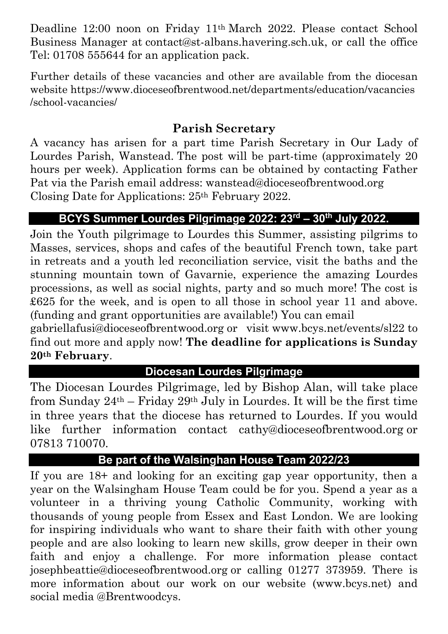Deadline 12:00 noon on Friday 11th March 2022. Please contact School Business Manager at contact@st-albans.havering.sch.uk, or call the office Tel: 01708 555644 for an application pack.

Further details of these vacancies and other are available from the diocesan website https://www.dioceseofbrentwood.net/departments/education/vacancies /school-vacancies/

# **Parish Secretary**

A vacancy has arisen for a part time Parish Secretary in Our Lady of Lourdes Parish, Wanstead. The post will be part-time (approximately 20 hours per week). Application forms can be obtained by contacting Father Pat via the Parish email address: wanstead@dioceseofbrentwood.org Closing Date for Applications: 25th February 2022.

### **BCYS Summer Lourdes Pilgrimage 2022: 23rd – 30th July 2022.**

Join the Youth pilgrimage to Lourdes this Summer, assisting pilgrims to Masses, services, shops and cafes of the beautiful French town, take part in retreats and a youth led reconciliation service, visit the baths and the stunning mountain town of Gavarnie, experience the amazing Lourdes processions, as well as social nights, party and so much more! The cost is £625 for the week, and is open to all those in school year 11 and above. (funding and grant opportunities are available!) You can email

gabriellafusi@dioceseofbrentwood.org or visit www.bcys.net/events/sl22 to find out more and apply now! **The deadline for applications is Sunday 20th February**.

#### **Diocesan Lourdes Pilgrimage**

The Diocesan Lourdes Pilgrimage, led by Bishop Alan, will take place from Sunday  $24<sup>th</sup>$  – Friday  $29<sup>th</sup>$  July in Lourdes. It will be the first time in three years that the diocese has returned to Lourdes. If you would like further information contact cathy@dioceseofbrentwood.org or 07813 710070.

#### **Be part of the Walsinghan House Team 2022/23**

If you are 18+ and looking for an exciting gap year opportunity, then a year on the Walsingham House Team could be for you. Spend a year as a volunteer in a thriving young Catholic Community, working with thousands of young people from Essex and East London. We are looking for inspiring individuals who want to share their faith with other young people and are also looking to learn new skills, grow deeper in their own faith and enjoy a challenge. For more information please contact josephbeattie@dioceseofbrentwood.org or calling 01277 373959. There is more information about our work on our website (www.bcys.net) and social media @Brentwoodcys.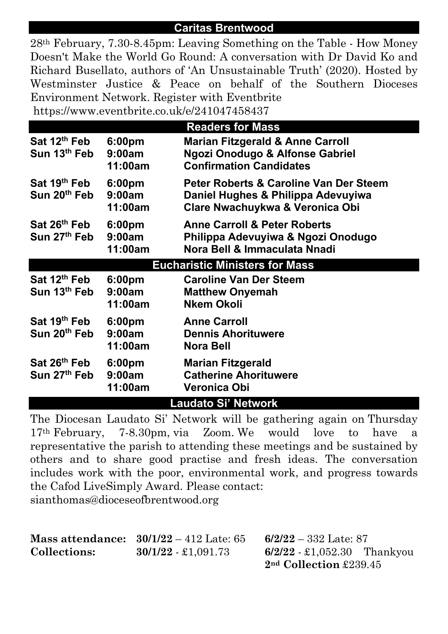#### **Caritas Brentwood**

28th February, 7.30-8.45pm: Leaving Something on the Table - How Money Doesn't Make the World Go Round: A conversation with Dr David Ko and Richard Busellato, authors of 'An Unsustainable Truth' (2020). Hosted by Westminster Justice & Peace on behalf of the Southern Dioceses Environment Network. Register with Eventbrite https://www.eventbrite.co.uk/e/241047458437

| <b>Readers for Mass</b>                              |                                         |                                                                                                                            |  |  |
|------------------------------------------------------|-----------------------------------------|----------------------------------------------------------------------------------------------------------------------------|--|--|
| Sat 12 <sup>th</sup> Feb<br>Sun 13 <sup>th</sup> Feb | 6:00 <sub>pm</sub><br>9:00am<br>11:00am | <b>Marian Fitzgerald &amp; Anne Carroll</b><br>Ngozi Onodugo & Alfonse Gabriel<br><b>Confirmation Candidates</b>           |  |  |
| Sat 19 <sup>th</sup> Feb<br>Sun 20 <sup>th</sup> Feb | 6:00 <sub>pm</sub><br>9:00am<br>11:00am | <b>Peter Roberts &amp; Caroline Van Der Steem</b><br>Daniel Hughes & Philippa Adevuyiwa<br>Clare Nwachuykwa & Veronica Obi |  |  |
| Sat 26th Feb<br>Sun 27th Feb                         | 6:00 <sub>pm</sub><br>9:00am<br>11:00am | <b>Anne Carroll &amp; Peter Roberts</b><br>Philippa Adevuyiwa & Ngozi Onodugo<br>Nora Bell & Immaculata Nnadi              |  |  |
|                                                      |                                         | <b>Eucharistic Ministers for Mass</b>                                                                                      |  |  |
| Sat 12 <sup>th</sup> Feb<br>Sun 13 <sup>th</sup> Feb | 6:00 <sub>pm</sub><br>9:00am<br>11:00am | <b>Caroline Van Der Steem</b><br><b>Matthew Onyemah</b><br><b>Nkem Okoli</b>                                               |  |  |
| Sat 19 <sup>th</sup> Feb<br>Sun 20 <sup>th</sup> Feb | 6:00 <sub>pm</sub><br>9:00am<br>11:00am | <b>Anne Carroll</b><br><b>Dennis Ahorituwere</b><br>Nora Bell                                                              |  |  |
| Sat 26 <sup>th</sup> Feb<br>Sun 27 <sup>th</sup> Feb | 6:00 <sub>pm</sub><br>9:00am<br>11:00am | <b>Marian Fitzgerald</b><br><b>Catherine Ahorituwere</b><br>Veronica Obi                                                   |  |  |
| <b>Laudato Si' Network</b>                           |                                         |                                                                                                                            |  |  |

The Diocesan Laudato Si' Network will be gathering again on Thursday 17th February, 7-8.30pm, via Zoom. We would love to have a representative the parish to attending these meetings and be sustained by others and to share good practise and fresh ideas. The conversation includes work with the poor, environmental work, and progress towards the Cafod LiveSimply Award. Please contact: sianthomas@dioceseofbrentwood.org

|                     | Mass attendance: $30/1/22 - 412$ Late: 65 | $6/2/22 - 332$ Late: 87      |  |
|---------------------|-------------------------------------------|------------------------------|--|
| <b>Collections:</b> | $30/1/22 - 1.091.73$                      | $6/2/22 - 1,052.30$ Thankyou |  |
|                     |                                           | $2nd$ Collection £239.45     |  |